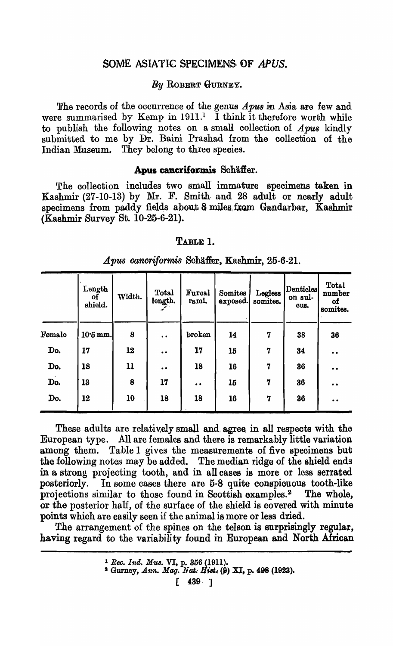# SOME ASIATIC SPECIMENS OF APUS.

### **By ROBERT GURNEY.**

The records of the occurrence of the genus *A pus* in Asia are few and were summarised by Kemp in  $1911<sup>1</sup>$  I think it therefore worth while to publish the following notes on a small collection of  $\boldsymbol{A}\boldsymbol{p}\boldsymbol{u}\boldsymbol{s}$  kindly submitted to me by Dr. Baini Prashad from the collection of the Indian Museum. They belong to three species.

#### Apus cancriformis Schäffer.

The collection includes two small immature specimens taken in Kashmir (27-10-13) by Mr. F. Smith and 28 adult or nearly adult specimens from paddy fields about 8 miles from Gandarbar, Kashmir (Kashmir Survey St. 10-25-6-21).

#### TABLE 1.

|        | Length<br>οf<br>shield. | Width. | Total<br>length. | Furcal<br>rami.     | Somites<br>exposed. | Legless<br>somites. | Denticles<br>on sul-<br>ous. | <b>Total</b><br>number<br>οf<br>somites. |
|--------|-------------------------|--------|------------------|---------------------|---------------------|---------------------|------------------------------|------------------------------------------|
| Female | $10.5$ mm.              | 8      | $\bullet$        | broken              | 14                  | 7                   | 38                           | 36                                       |
| Do.    | 17                      | 12     | $\bullet$        | 17                  | 15                  | $\overline{7}$      | 34                           | $\bullet$                                |
| Do.    | 18                      | 11     | $\bullet$        | 18                  | 16                  | $\overline{7}$      | 36                           |                                          |
| Do.    | 13                      | 8      | 17               | $\bullet$ $\bullet$ | 15                  | 7                   | 36                           | . .                                      |
| Do.    | 12                      | 10     | 18               | 18                  | 16                  | 7                   | 36                           | $\bullet$                                |

#### *Apus canoriformis* Schaffer, Kashmir, 25-6-21.

These adults are relatively small and agree in all respects with the European type. All are females and there is remarkably little variation among them. Table 1 gives the measurements of five specimens but the following notes may be added. The median ridge of the shield ends in a strong projecting tooth, and in all cases is more or less serrated posteriorly. In some cases there are 5-8 quite conspicuous tooth-like projections similar to those found in Scottish examples.<sup>2</sup> The whole, or the posterior half, of the surface of the shield is covered with minute points which are easily seen if the animal is more or less dried.

The arrangement of the spines on the telson is surprisingly regular, having regard to the variability found in European and North African

 $[ 439 ]$ 

<sup>1</sup>*Ree. Ind. M'U8.* VI, p. 356 (1911).

<sup>&</sup>lt;sup>2</sup> Gurney, *Ann. Mag. Nat. Hist.* (9) XI, p. 498 (1923).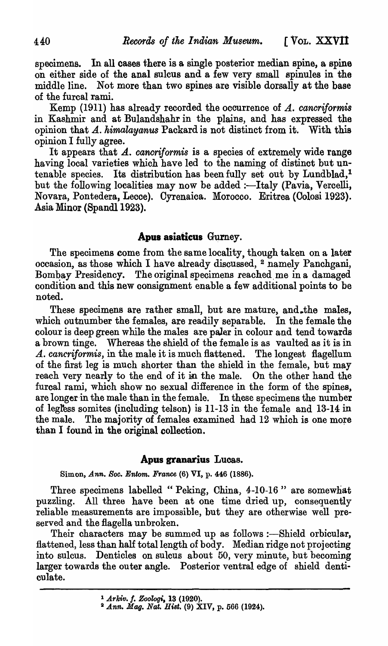specimens. In all cases there is a single posterior median spine, a spine on either side of the anal sulcus and a few very small spinules in the middle line. Not more than two spines are visible dorsally at the base of the furcal rami.

Kemp (1911) has already recorded the oocurrenoe of *A. cancriformis*  in Kashmir and at Bulandshahr in the plains, and has expressed the opinion that A. himalayanus Packard is not distinct from it. With this opinion I fully agree.

It appears that A. *cancriformis* is a species of extremely wide range having local varieties which have led to the naming of distinct but untenable species. Its distribution has been fully set out by Lundblad,<sup>1</sup> but the following localities may now be added :-Italy (Pavia, Vercelli, Novara, Pontedera, Leece). Oyrenaica. Morocco. Eritrea (Oolosi 1923). Asia Minor (Spandl 1923).

## Apus asiaticus Gurney.

The specimens come from the same locality, though taken on a later occasion, as those which I have already discussed, 2 namely Panchgani, Bombay Presidency. The original specimens reached me in a damaged condition and this new consignment enable a few additional points to be noted.

These specimens are rather small, but are mature, and.the males, which outnumber the females, are readily separable. In the female the colour is deep green while the males are paler in colour and tend towards a brown tinge. Whereas the shield of the female is as vaulted as it is in A. *cancrijormis,* in the male it is much flattened. The longest flagellum of the first leg is much shorter than the shield in the female, but may reach very nearly to the end of it in the male. On the other hand the furcal rami, which show no sexual difference in the form of the spines, are longer in the male than in the female. In these specimens the number of legl'ess somites (including telson) is 11-13 in the female and 13-14 in the male. The majority of females examined had  $12$  which is one more than I found in the original collection.

### **Apas granarius** Lucas.

Simon, *Ann.* 80c. *Entom. France* (6) VI, p. 446 (1886).

Three specimens labelled "Peking, China, 4-10-16" are somewhat puzzling. All three have been at one time dried up, consequently reliable measurements are impossible, but they are otherwise well preserved and the flagella unbroken.

Their characters may be summed up as follows :- Shield orbicular, flattened, less than half total length of body. Median ridge not projecting into sulcus. Denticles on sulcus about 50, very minute, but becoming larger towards the outer angle. Posterior ventral edge of shield denticulate.

<sup>1</sup>*Arldv.* f. *Zoologi,* 13 (1920).

<sup>2</sup> *Ann. Mag. Nat. BiBt.* (9) XIV, p. 566 (1924).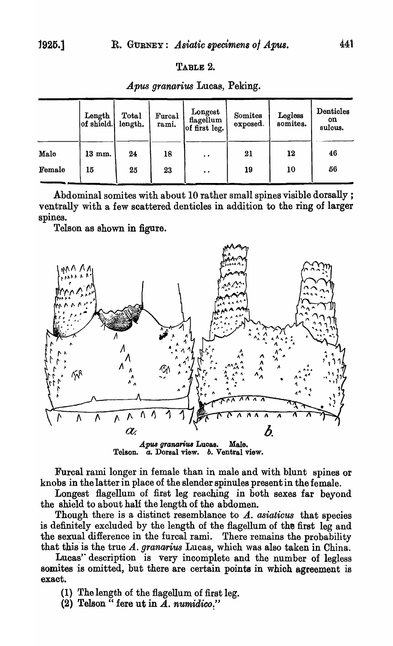# TABLE 2.

*Apus granarius* Lucas, Peking.

|        | Length<br>of shield. | Total<br>length. | Furcal<br>rami. | Longest<br>flagellum<br>of first leg. | Somites<br>exposed. | Legless<br>somites. | Denticles<br><b>on</b><br>sulcus. |
|--------|----------------------|------------------|-----------------|---------------------------------------|---------------------|---------------------|-----------------------------------|
| Male   | 13 mm.               | 24               | 18              | $\ddot{\phantom{a}}$                  | 21                  | 12                  | 46                                |
| Female | 15                   | 25               | 23              | $\bullet$ $\bullet$                   | 19                  | 10                  | 56                                |

Abdominal somites with about 10 rather small spines visible dorsally; ventrally with a few scattered denticles in addition to the ring of larger spines.

Telson as shown in figure.



Telson. *a.* Dorsal view. *b.* Ventral view.

Furcal rami longer in female than in male and with blunt spines or knobs in the latter in place of the slender spinules present'in the female.

Longest flagellum of first leg reaching in both sexes far beyond the shield to about half the length of the abdomen.

Though there is a distinct resemblance to A. asiaticus that species is definitely excluded by the length of the flagellum of the first leg and the sexual difference in the furcal rami. There remains the probability that this is the true A. *granarius* Lucas, which was also taken in China.

Lucas' description is very incomplete and the number of legless somites *is* omitted, hut there are certain points in which agreement is exact.

- (I) The length of the flagellum of first leg.
- (2) Telson  $\cdot$  fere ut in  $\overline{A}$ . *numidico*."